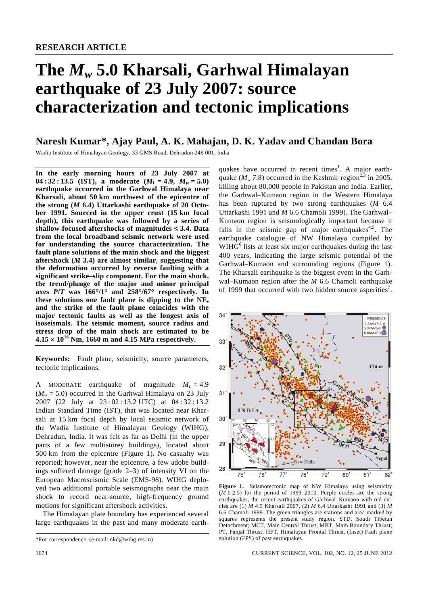# **The** *Mw* **5.0 Kharsali, Garhwal Himalayan earthquake of 23 July 2007: source characterization and tectonic implications**

## **Naresh Kumar\*, Ajay Paul, A. K. Mahajan, D. K. Yadav and Chandan Bora**

Wadia Institute of Himalayan Geology, 33 GMS Road, Dehradun 248 001, India

**In the early morning hours of 23 July 2007 at 04 : 32 : 13.5** (**IST**), a moderate  $(M_L = 4.9, M_w = 5.0)$ **earthquake occurred in the Garhwal Himalaya near Kharsali, about 50 km northwest of the epicentre of the strong (***M* **6.4) Uttarkashi earthquake of 20 October 1991. Sourced in the upper crust (15 km focal depth), this earthquake was followed by a series of shallow-focused aftershocks of magnitudes** ≤ **3.4. Data from the local broadband seismic network were used for understanding the source characterization. The fault plane solutions of the main shock and the biggest aftershock (***M* **3.4) are almost similar, suggesting that the deformation occurred by reverse faulting with a significant strike–slip component. For the main shock, the trend/plunge of the major and minor principal axes** *P***/***T* **was 166**°**/1**° **and 258**°**/67**° **respectively. In these solutions one fault plane is dipping to the NE, and the strike of the fault plane coincides with the major tectonic faults as well as the longest axis of isoseismals. The seismic moment, source radius and stress drop of the main shock are estimated to be 4.15** × **1016 Nm, 1660 m and 4.15 MPa respectively.** 

**Keywords:** Fault plane, seismicity, source parameters, tectonic implications.

A MODERATE earthquake of magnitude  $M_L = 4.9$  $(M_w = 5.0)$  occurred in the Garhwal Himalaya on 23 July 2007 (22 July at 23 : 02 : 13.2 UTC) at 04 : 32 : 13.2 Indian Standard Time (IST), that was located near Kharsali at 15 km focal depth by local seismic network of the Wadia Institute of Himalayan Geology (WIHG), Dehradun, India. It was felt as far as Delhi (in the upper parts of a few multistorey buildings), located about 500 km from the epicentre (Figure 1). No casualty was reported; however, near the epicentre, a few adobe buildings suffered damage (grade 2–3) of intensity VI on the European Macroseismic Scale (EMS-98). WIHG deployed two additional portable seismographs near the main shock to record near-source, high-frequency ground motions for significant aftershock activities.

 The Himalayan plate boundary has experienced several large earthquakes in the past and many moderate earth-

quakes have occurred in recent times<sup>1</sup>. A major earthquake  $(M_w 7.8)$  occurred in the Kashmir region<sup>2,3</sup> in 2005, killing about 80,000 people in Pakistan and India. Earlier, the Garhwal–Kumaon region in the Western Himalaya has been ruptured by two strong earthquakes (*M* 6.4 Uttarkashi 1991 and *M* 6.6 Chamoli 1999). The Garhwal– Kumaon region is seismologically important because it falls in the seismic gap of major earthquakes $4.5$ . The earthquake catalogue of NW Himalaya compiled by WIHG<sup>6</sup> lists at least six major earthquakes during the last 400 years, indicating the large seismic potential of the Garhwal–Kumaon and surrounding regions (Figure 1). The Kharsali earthquake is the biggest event in the Garhwal–Kumaon region after the *M* 6.6 Chamoli earthquake of 1999 that occurred with two hidden source asperities<sup>7</sup>.



**Figure 1.** Seismotectonic map of NW Himalaya using seismicity  $(M \ge 2.5)$  for the period of 1999–2010. Purple circles are the strong earthquakes, the recent earthquakes of Garhwal–Kumaon with red circles are (1) *M* 4.9 Kharsali 2007, (2) *M* 6.4 Uttarkashi 1991 and (3) *M* 6.6 Chamoli 1999. The green triangles are stations and area marked by squares represents the present study region. STD, South Tibetan Detachment; MCT, Main Central Thrust; MBT, Main Boundary Thrust; PT, Panjal Thrust; HFT, Himalayan Frontal Thrust. (Inset) Fault plane solution (FPS) of past earthquakes.

1674 CURRENT SCIENCE, VOL. 102, NO. 12, 25 JUNE 2012

<sup>\*</sup>For correspondence. (e-mail: nkd@wihg.res.in)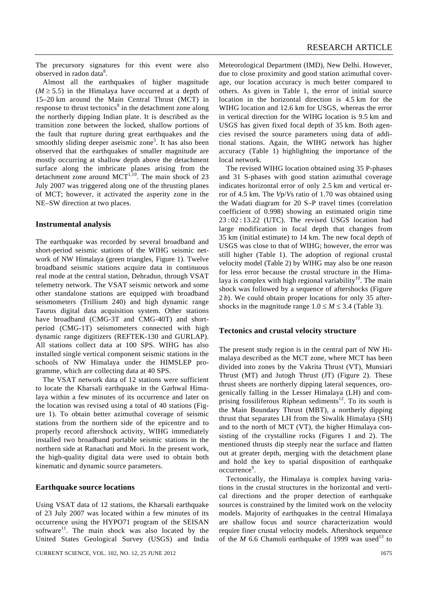The precursory signatures for this event were also observed in radon data<sup>8</sup>.

 Almost all the earthquakes of higher magnitude  $(M \ge 5.5)$  in the Himalaya have occurred at a depth of 15–20 km around the Main Central Thrust (MCT) in response to thrust tectonics<sup>9</sup> in the detachment zone along the northerly dipping Indian plate. It is described as the transition zone between the locked, shallow portions of the fault that rupture during great earthquakes and the smoothly sliding deeper aseismic zone<sup>5</sup>. It has also been observed that the earthquakes of smaller magnitude are mostly occurring at shallow depth above the detachment surface along the imbricate planes arising from the detachment zone around  $MCT^{1,10}$ . The main shock of 23 July 2007 was triggered along one of the thrusting planes of MCT; however, it activated the asperity zone in the NE–SW direction at two places.

#### **Instrumental analysis**

The earthquake was recorded by several broadband and short-period seismic stations of the WIHG seismic network of NW Himalaya (green triangles, Figure 1). Twelve broadband seismic stations acquire data in continuous real mode at the central station, Dehradun, through VSAT telemetry network. The VSAT seismic network and some other standalone stations are equipped with broadband seismometers (Trillium 240) and high dynamic range Taurus digital data acquisition system. Other stations have broadband (CMG-3T and CMG-40T) and shortperiod (CMG-1T) seismometers connected with high dynamic range digitizers (REFTEK-130 and GURLAP). All stations collect data at 100 SPS. WIHG has also installed single vertical component seismic stations in the schools of NW Himalaya under the HIMSLEP programme, which are collecting data at 40 SPS.

 The VSAT network data of 12 stations were sufficient to locate the Kharsali earthquake in the Garhwal Himalaya within a few minutes of its occurrence and later on the location was revised using a total of 40 stations (Figure 1). To obtain better azimuthal coverage of seismic stations from the northern side of the epicentre and to properly record aftershock activity, WIHG immediately installed two broadband portable seismic stations in the northern side at Ranachati and Mori. In the present work, the high-quality digital data were used to obtain both kinematic and dynamic source parameters.

#### **Earthquake source locations**

Using VSAT data of 12 stations, the Kharsali earthquake of 23 July 2007 was located within a few minutes of its occurrence using the HYPO71 program of the SEISAN software<sup>11</sup>. The main shock was also located by the United States Geological Survey (USGS) and India

CURRENT SCIENCE, VOL. 102, NO. 12, 25 JUNE 2012 1675

Meteorological Department (IMD), New Delhi. However, due to close proximity and good station azimuthal coverage, our location accuracy is much better compared to others. As given in Table 1, the error of initial source location in the horizontal direction is 4.5 km for the WIHG location and 12.6 km for USGS, whereas the error in vertical direction for the WIHG location is 9.5 km and USGS has given fixed focal depth of 35 km. Both agencies revised the source parameters using data of additional stations. Again, the WIHG network has higher accuracy (Table 1) highlighting the importance of the local network.

 The revised WIHG location obtained using 35 P-phases and 31 S-phases with good station azimuthal coverage indicates horizontal error of only 2.5 km and vertical error of 4.5 km. The *V*p/*V*s ratio of 1.70 was obtained using the Wadati diagram for 20 S–P travel times (correlation coefficient of 0.998) showing an estimated origin time 23 : 02 : 13.22 (UTC). The revised USGS location had large modification in focal depth that changes from 35 km (initial estimate) to 14 km. The new focal depth of USGS was close to that of WIHG; however, the error was still higher (Table 1). The adoption of regional crustal velocity model (Table 2) by WIHG may also be one reason for less error because the crustal structure in the Himalaya is complex with high regional variability<sup>10</sup>. The main shock was followed by a sequence of aftershocks (Figure 2 *b*). We could obtain proper locations for only 35 aftershocks in the magnitude range  $1.0 \le M \le 3.4$  (Table 3).

#### **Tectonics and crustal velocity structure**

The present study region is in the central part of NW Himalaya described as the MCT zone, where MCT has been divided into zones by the Vakrita Thrust (VT), Munsiari Thrust (MT) and Jutogh Thrust (JT) (Figure 2). These thrust sheets are northerly dipping lateral sequences, orogenically falling in the Lesser Himalaya (LH) and comprising fossiliferous Riphean sediments<sup>12</sup>. To its south is the Main Boundary Thrust (MBT), a northerly dipping thrust that separates LH from the Siwalik Himalaya (SH) and to the north of MCT (VT), the higher Himalaya consisting of the crystalline rocks (Figures 1 and 2). The mentioned thrusts dip steeply near the surface and flatten out at greater depth, merging with the detachment plane and hold the key to spatial disposition of earthquake occurrence<sup>9</sup>.

 Tectonically, the Himalaya is complex having variations in the crustal structures in the horizontal and vertical directions and the proper detection of earthquake sources is constrained by the limited work on the velocity models. Majority of earthquakes in the central Himalaya are shallow focus and source characterization would require finer crustal velocity models. Aftershock sequence of the *M* 6.6 Chamoli earthquake of 1999 was used<sup>13</sup> to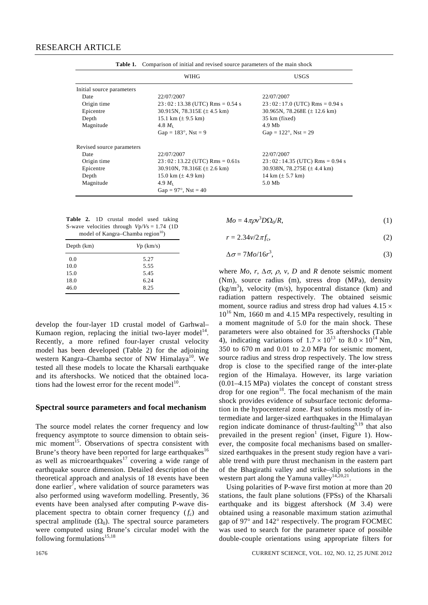|                           | WIHG                                    | <b>USGS</b>                              |
|---------------------------|-----------------------------------------|------------------------------------------|
| Initial source parameters |                                         |                                          |
| Date                      | 22/07/2007                              | 22/07/2007                               |
| Origin time               | $23:02:13.38$ (UTC) Rms = 0.54 s        | $23:02:17.0$ (UTC) Rms = 0.94 s          |
| Epicentre                 | 30.915N, 78.315E $(\pm 4.5 \text{ km})$ | 30.965N, 78.268E $(\pm 12.6 \text{ km})$ |
| Depth                     | 15.1 km $(\pm 9.5 \text{ km})$          | 35 km (fixed)                            |
| Magnitude                 | $4.8 M_{\rm L}$                         | 4.9 Mb                                   |
|                           | Gap = $183^{\circ}$ , Nst = 9           | Gap = $122^{\circ}$ , Nst = 29           |
| Revised source parameters |                                         |                                          |
| Date                      | 22/07/2007                              | 22/07/2007                               |
| Origin time               | $23:02:13.22$ (UTC) Rms = 0.61s         | $23:02:14.35$ (UTC) Rms = 0.94 s         |
| Epicentre                 | 30.910N, 78.316E $(\pm 2.6 \text{ km})$ | 30.938N, 78.275E $(\pm 4.4 \text{ km})$  |
| Depth                     | 15.0 km $(\pm 4.9 \text{ km})$          | 14 km $(\pm 5.7 \text{ km})$             |
| Magnitude                 | 4.9 $M_{\rm L}$                         | 5.0 Mb                                   |
|                           | Gap = $97^{\circ}$ , Nst = 40           |                                          |

Table 1. Comparison of initial and revised source parameters of the main shock

|                                               |  |  | <b>Table 2.</b> 1D crustal model used taking |  |  |  |
|-----------------------------------------------|--|--|----------------------------------------------|--|--|--|
|                                               |  |  | S-wave velocities through $Vp/Vs = 1.74$ (1D |  |  |  |
| model of Kangra–Chamba region <sup>10</sup> ) |  |  |                                              |  |  |  |

| Depth $(km)$ | $Vp$ (km/s) |
|--------------|-------------|
| 0.0          | 5.27        |
| 10.0         | 5.55        |
| 15.0         | 5.45        |
| 18.0         | 6.24        |
| 46.0         | 8.25        |
|              |             |

develop the four-layer 1D crustal model of Garhwal– Kumaon region, replacing the initial two-layer model<sup>14</sup>. Recently, a more refined four-layer crustal velocity model has been developed (Table 2) for the adjoining western Kangra–Chamba sector of NW Himalaya<sup>10</sup>. We tested all these models to locate the Kharsali earthquake and its aftershocks. We noticed that the obtained locations had the lowest error for the recent model $1<sup>10</sup>$ .

#### **Spectral source parameters and focal mechanism**

The source model relates the corner frequency and low frequency asymptote to source dimension to obtain seismic moment<sup>15</sup>. Observations of spectra consistent with Brune's theory have been reported for large earthquakes<sup>16</sup> as well as microearthquakes<sup>17</sup> covering a wide range of earthquake source dimension. Detailed description of the theoretical approach and analysis of 18 events have been done earlier<sup>7</sup>, where validation of source parameters was also performed using waveform modelling. Presently, 36 events have been analysed after computing P-wave displacement spectra to obtain corner frequency  $(f_c)$  and spectral amplitude  $(\Omega_0)$ . The spectral source parameters were computed using Brune's circular model with the following formulations<sup>15,18</sup>

$$
Mo = 4\pi \rho v^3 D\Omega_0/R,\tag{1}
$$

$$
r = 2.34v/2\pi f_c,\tag{2}
$$

$$
\Delta \sigma = 7Mo/16r^3,\tag{3}
$$

where  $Mo$ ,  $r$ ,  $\Delta \sigma$ ,  $\rho$ ,  $v$ ,  $D$  and  $R$  denote seismic moment (Nm), source radius (m), stress drop (MPa), density  $(kg/m<sup>3</sup>)$ , velocity (m/s), hypocentral distance (km) and radiation pattern respectively. The obtained seismic moment, source radius and stress drop had values  $4.15 \times$  $10^{16}$  Nm, 1660 m and 4.15 MPa respectively, resulting in a moment magnitude of 5.0 for the main shock. These parameters were also obtained for 35 aftershocks (Table 4), indicating variations of  $1.7 \times 10^{13}$  to  $8.0 \times 10^{14}$  Nm, 350 to 670 m and 0.01 to 2.0 MPa for seismic moment, source radius and stress drop respectively. The low stress drop is close to the specified range of the inter-plate region of the Himalaya. However, its large variation (0.01–4.15 MPa) violates the concept of constant stress drop for one region $18$ . The focal mechanism of the main shock provides evidence of subsurface tectonic deformation in the hypocenteral zone. Past solutions mostly of intermediate and larger-sized earthquakes in the Himalayan region indicate dominance of thrust-faulting<sup>9,19</sup> that also prevailed in the present region<sup>1</sup> (inset, Figure 1). However, the composite focal mechanisms based on smallersized earthquakes in the present study region have a variable trend with pure thrust mechanism in the eastern part of the Bhagirathi valley and strike–slip solutions in the western part along the Yamuna valley<sup>14,20,21</sup>.

 Using polarities of P-wave first motion at more than 20 stations, the fault plane solutions (FPSs) of the Kharsali earthquake and its biggest aftershock (*M* 3.4) were obtained using a reasonable maximum station azimuthal gap of 97° and 142° respectively. The program FOCMEC was used to search for the parameter space of possible double-couple orientations using appropriate filters for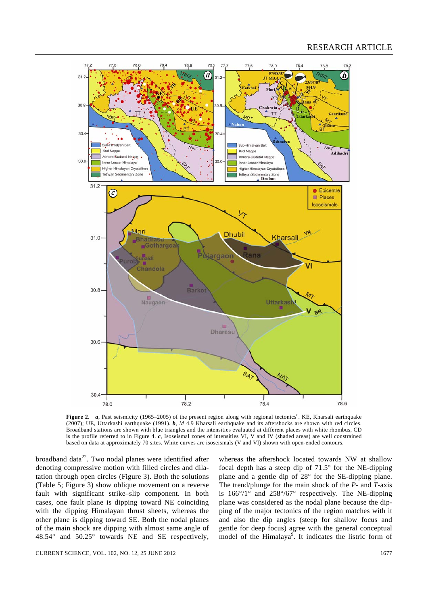

**Figure 2.**  $a$ , Past seismicity (1965–2005) of the present region along with regional tectonics<sup>6</sup>. KE, Kharsali earthquake (2007); UE, Uttarkashi earthquake (1991). *b*, *M* 4.9 Kharsali earthquake and its aftershocks are shown with red circles. Broadband stations are shown with blue triangles and the intensities evaluated at different places with white rhombus, CD is the profile referred to in Figure 4. *c*, Isoseismal zones of intensities VI, V and IV (shaded areas) are well constrained based on data at approximately 70 sites. White curves are isoseismals (V and VI) shown with open-ended contours.

broadband data $2<sup>2</sup>$ . Two nodal planes were identified after denoting compressive motion with filled circles and dilatation through open circles (Figure 3). Both the solutions (Table 5; Figure 3) show oblique movement on a reverse fault with significant strike–slip component. In both cases, one fault plane is dipping toward NE coinciding with the dipping Himalayan thrust sheets, whereas the other plane is dipping toward SE. Both the nodal planes of the main shock are dipping with almost same angle of 48.54° and 50.25° towards NE and SE respectively,

whereas the aftershock located towards NW at shallow focal depth has a steep dip of 71.5° for the NE-dipping plane and a gentle dip of 28° for the SE-dipping plane. The trend/plunge for the main shock of the *P*- and *T*-axis is 166°/1° and 258°/67° respectively. The NE-dipping plane was considered as the nodal plane because the dipping of the major tectonics of the region matches with it and also the dip angles (steep for shallow focus and gentle for deep focus) agree with the general conceptual model of the Himalaya<sup>9</sup>. It indicates the listric form of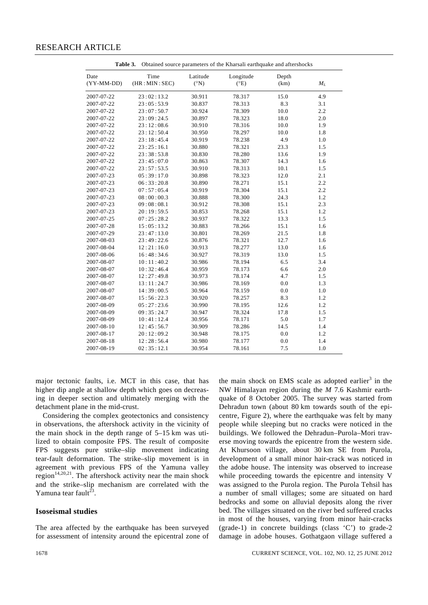### RESEARCH ARTICLE

| Obtained source parameters of the Kharsali earthquake and aftershocks<br>Table 3. |                       |                             |                            |               |       |
|-----------------------------------------------------------------------------------|-----------------------|-----------------------------|----------------------------|---------------|-------|
| Date<br>(YY-MM-DD)                                                                | Time<br>(HR: MIN:SEC) | Latitude<br>$({}^{\circ}N)$ | Longitude<br>$(^{\circ}E)$ | Depth<br>(km) | $M_L$ |
| 2007-07-22                                                                        | 23:02:13.2            | 30.911                      | 78.317                     | 15.0          | 4.9   |
| 2007-07-22                                                                        | 23:05:53.9            | 30.837                      | 78.313                     | 8.3           | 3.1   |
| 2007-07-22                                                                        | 23:07:50.7            | 30.924                      | 78.309                     | 10.0          | 2.2   |
| 2007-07-22                                                                        | 23:09:24.5            | 30.897                      | 78.323                     | 18.0          | 2.0   |
| 2007-07-22                                                                        | 23:12:08.6            | 30.910                      | 78.316                     | 10.0          | 1.9   |
| 2007-07-22                                                                        | 23:12:50.4            | 30.950                      | 78.297                     | 10.0          | 1.8   |
| 2007-07-22                                                                        | 23:18:45.4            | 30.919                      | 78.238                     | 4.9           | 1.0   |
| 2007-07-22                                                                        | 23:25:16.1            | 30.880                      | 78.321                     | 23.3          | 1.5   |
| 2007-07-22                                                                        | 23:38:53.8            | 30.830                      | 78.280                     | 13.6          | 1.9   |
| 2007-07-22                                                                        | 23:45:07.0            | 30.863                      | 78.307                     | 14.3          | 1.6   |
| 2007-07-22                                                                        | 23:57:53.5            | 30.910                      | 78.313                     | 10.1          | 1.5   |
| 2007-07-23                                                                        | 05:39:17.0            | 30.898                      | 78.323                     | 12.0          | 2.1   |
| 2007-07-23                                                                        | 06:33:20.8            | 30.890                      | 78.271                     | 15.1          | 2.2   |
| 2007-07-23                                                                        | 07:57:05.4            | 30.919                      | 78.304                     | 15.1          | 2.2   |
| 2007-07-23                                                                        | 08:00:00.3            | 30.888                      | 78.300                     | 24.3          | 1.2   |
| 2007-07-23                                                                        | 09:08:08.1            | 30.912                      | 78.308                     | 15.1          | 2.3   |
| 2007-07-23                                                                        | 20:19:59.5            | 30.853                      | 78.268                     | 15.1          | 1.2   |
| 2007-07-25                                                                        | 07:25:28.2            | 30.937                      | 78.322                     | 13.3          | 1.5   |
| 2007-07-28                                                                        | 15:05:13.2            | 30.883                      | 78.266                     | 15.1          | 1.6   |
| 2007-07-29                                                                        | 23:47:13.0            | 30.801                      | 78.269                     | 21.5          | 1.8   |
| 2007-08-03                                                                        | 23:49:22.6            | 30.876                      | 78.321                     | 12.7          | 1.6   |
| 2007-08-04                                                                        | 12:21:16.0            | 30.913                      | 78.277                     | 13.0          | 1.6   |
| 2007-08-06                                                                        | 16:48:34.6            | 30.927                      | 78.319                     | 13.0          | 1.5   |
| 2007-08-07                                                                        | 10:11:40.2            | 30.986                      | 78.194                     | 6.5           | 3.4   |
| 2007-08-07                                                                        | 10:32:46.4            | 30.959                      | 78.173                     | 6.6           | 2.0   |
| 2007-08-07                                                                        | 12:27:49.8            | 30.973                      | 78.174                     | 4.7           | 1.5   |
| 2007-08-07                                                                        | 13:11:24.7            | 30.986                      | 78.169                     | 0.0           | 1.3   |
| 2007-08-07                                                                        | 14:39:00.5            | 30.964                      | 78.159                     | 0.0           | 1.0   |
| 2007-08-07                                                                        | 15:56:22.3            | 30.920                      | 78.257                     | 8.3           | 1.2   |
| 2007-08-09                                                                        | 05:27:23.6            | 30.990                      | 78.195                     | 12.6          | 1.2   |
| 2007-08-09                                                                        | 09:35:24.7            | 30.947                      | 78.324                     | 17.8          | 1.5   |
| 2007-08-09                                                                        | 10:41:12.4            | 30.956                      | 78.171                     | 5.0           | 1.7   |
| 2007-08-10                                                                        | 12:45:56.7            | 30.909                      | 78.286                     | 14.5          | 1.4   |
| 2007-08-17                                                                        | 20:12:09.2            | 30.948                      | 78.175                     | 0.0           | 1.2   |
| 2007-08-18                                                                        | 12:28:56.4            | 30.980                      | 78.177                     | 0.0           | 1.4   |
| 2007-08-19                                                                        | 02:35:12.1            | 30.954                      | 78.161                     | 7.5           | 1.0   |

major tectonic faults, i.e. MCT in this case, that has higher dip angle at shallow depth which goes on decreasing in deeper section and ultimately merging with the detachment plane in the mid-crust.

 Considering the complex geotectonics and consistency in observations, the aftershock activity in the vicinity of the main shock in the depth range of 5–15 km was utilized to obtain composite FPS. The result of composite FPS suggests pure strike–slip movement indicating tear-fault deformation. The strike–slip movement is in agreement with previous FPS of the Yamuna valley region<sup>14,20,21</sup>. The aftershock activity near the main shock and the strike–slip mechanism are correlated with the Yamuna tear fault $^{23}$ 

#### **Isoseismal studies**

The area affected by the earthquake has been surveyed for assessment of intensity around the epicentral zone of

the main shock on EMS scale as adopted earlier<sup>3</sup> in the NW Himalayan region during the *M* 7.6 Kashmir earthquake of 8 October 2005. The survey was started from Dehradun town (about 80 km towards south of the epicentre, Figure 2), where the earthquake was felt by many people while sleeping but no cracks were noticed in the buildings. We followed the Dehradun–Purola–Mori traverse moving towards the epicentre from the western side. At Khursoon village, about 30 km SE from Purola, development of a small minor hair-crack was noticed in the adobe house. The intensity was observed to increase while proceeding towards the epicentre and intensity V was assigned to the Purola region. The Purola Tehsil has a number of small villages; some are situated on hard bedrocks and some on alluvial deposits along the river bed. The villages situated on the river bed suffered cracks in most of the houses, varying from minor hair-cracks (grade-1) in concrete buildings (class 'C') to grade-2 damage in adobe houses. Gothatgaon village suffered a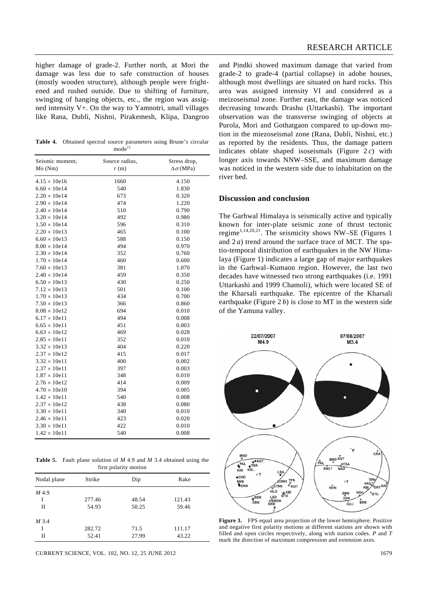higher damage of grade-2. Further north, at Mori the damage was less due to safe construction of houses (mostly wooden structure), although people were frightened and rushed outside. Due to shifting of furniture, swinging of hanging objects, etc., the region was assigned intensity V+. On the way to Yamnotri, small villages like Rana, Dubli, Nishni, Pirakemesh, Klipa, Dangroo

**Table 4.** Obtained spectral source parameters using Brune's circular  $mode<sup>15</sup>$ 

| Seismic moment,     | Source radius, | Stress drop,         |
|---------------------|----------------|----------------------|
| $Mo$ (Nm)           | r(m)           | $\Delta\sigma$ (MPa) |
| $4.15 \times 10e16$ | 1660           | 4.150                |
| $6.60 \times 10e14$ | 540            | 1.830                |
| $2.20 \times 10e14$ | 673            | 0.320                |
| $2.90 \times 10e14$ | 474            | 1.220                |
| $2.40 \times 10e14$ | 510            | 0.790                |
| $3.20 \times 10e14$ | 492            | 0.980                |
| $1.50 \times 10e14$ | 596            | 0.310                |
| $2.20 \times 10e13$ | 465            | 0.100                |
| $6.60 \times 10e13$ | 588            | 0.150                |
| $8.00 \times 10e14$ | 494            | 0.970                |
| $2.30 \times 10e14$ | 352            | 0.760                |
| $1.70 \times 10e14$ | 460            | 0.600                |
| $7.60 \times 10e13$ | 381            | 1.070                |
| $2.40 \times 10e14$ | 459            | 0.350                |
| $6.50 \times 10e13$ | 430            | 0.250                |
| $7.12 \times 10e13$ | 501            | 0.100                |
| $1.70 \times 10e13$ | 434            | 0.700                |
| $7.50 \times 10e13$ | 366            | 0.860                |
| $8.08 \times 10e12$ | 694            | 0.010                |
| $6.17 \times 10e11$ | 494            | 0.008                |
| $6.65 \times 10e11$ | 451            | 0.003                |
| $6.63 \times 10e12$ | 469            | 0.028                |
| $2.85 \times 10e11$ | 352            | 0.010                |
| $3.32 \times 10e13$ | 404            | 0.220                |
| $2.37 \times 10e12$ | 415            | 0.017                |
| $3.32 \times 10e11$ | 400            | 0.002                |
| $2.37 \times 10e11$ | 397            | 0.003                |
| $1.87 \times 10e11$ | 348            | 0.010                |
| $2.76 \times 10e12$ | 414            | 0.009                |
| $4.70 \times 10e10$ | 394            | 0.005                |
| $1.42 \times 10e11$ | 540            | 0.008                |
| $2.37 \times 10e12$ | 438            | 0.080                |
| $3.30 \times 10e11$ | 340            | 0.010                |
| $2.46 \times 10e11$ | 423            | 0.020                |
| $3.30 \times 10e11$ | 422            | 0.010                |
| $1.42 \times 10e11$ | 540            | 0.008                |

**Table 5.** Fault plane solution of *M* 4.9 and *M* 3.4 obtained using the first polarity motion

| Nodal plane | Strike | Dip   | Rake   |
|-------------|--------|-------|--------|
| M 4.9       |        |       |        |
| I           | 277.46 | 48.54 | 121.43 |
| П           | 54.93  | 50.25 | 59.46  |
| M 3.4       |        |       |        |
| I           | 282.72 | 71.5  | 111.17 |
| П           | 52.41  | 27.99 | 43.22  |

CURRENT SCIENCE, VOL. 102, NO. 12, 25 JUNE 2012 1679

and Pindki showed maximum damage that varied from grade-2 to grade-4 (partial collapse) in adobe houses, although most dwellings are situated on hard rocks. This area was assigned intensity VI and considered as a meizoseismal zone. Further east, the damage was noticed decreasing towards Drashu (Uttarkashi). The important observation was the transverse swinging of objects at Purola, Mori and Gothatgaon compared to up-down motion in the miezoseismal zone (Rana, Dubli, Nishni, etc.) as reported by the residents. Thus, the damage pattern indicates oblate shaped isoseismals (Figure  $2c$ ) with longer axis towards NNW–SSE, and maximum damage was noticed in the western side due to inhabitation on the river bed.

#### **Discussion and conclusion**

The Garhwal Himalaya is seismically active and typically known for inter-plate seismic zone of thrust tectonic regime<sup>1,14,20,21</sup>. The seismicity shows NW–SE (Figures 1) and 2 *a*) trend around the surface trace of MCT. The spatio-temporal distribution of earthquakes in the NW Himalaya (Figure 1) indicates a large gap of major earthquakes in the Garhwal–Kumaon region. However, the last two decades have witnessed two strong earthquakes (i.e. 1991 Uttarkashi and 1999 Chamoli), which were located SE of the Kharsali earthquake. The epicentre of the Kharsali earthquake (Figure  $2 b$ ) is close to MT in the western side of the Yamuna valley.



**Figure 3.** FPS equal area projection of the lower hemisphere. Positive and negative first polarity motions at different stations are shown with filled and open circles respectively, along with station codes. *P* and *T* mark the direction of maximum compression and extension axes.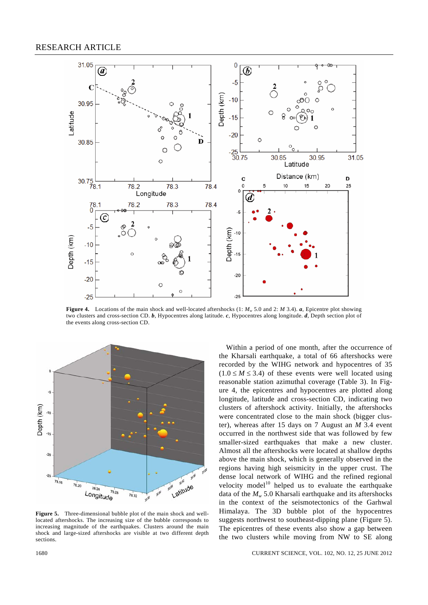

**Figure 4.** Locations of the main shock and well-located aftershocks (1: *Mw* 5.0 and 2: *M* 3.4). *a*, Epicentre plot showing two clusters and cross-section CD. *b*, Hypocentres along latitude. *c*, Hypocentres along longitude. *d*, Depth section plot of the events along cross-section CD.



**Figure 5.** Three-dimensional bubble plot of the main shock and welllocated aftershocks. The increasing size of the bubble corresponds to increasing magnitude of the earthquakes. Clusters around the main shock and large-sized aftershocks are visible at two different depth sections.

 Within a period of one month, after the occurrence of the Kharsali earthquake, a total of 66 aftershocks were recorded by the WIHG network and hypocentres of 35  $(1.0 \leq M \leq 3.4)$  of these events were well located using reasonable station azimuthal coverage (Table 3). In Figure 4, the epicentres and hypocentres are plotted along longitude, latitude and cross-section CD, indicating two clusters of aftershock activity. Initially, the aftershocks were concentrated close to the main shock (bigger cluster), whereas after 15 days on 7 August an *M* 3.4 event occurred in the northwest side that was followed by few smaller-sized earthquakes that make a new cluster. Almost all the aftershocks were located at shallow depths above the main shock, which is generally observed in the regions having high seismicity in the upper crust. The dense local network of WIHG and the refined regional velocity model<sup>10</sup> helped us to evaluate the earthquake data of the  $M_w$  5.0 Kharsali earthquake and its aftershocks in the context of the seismotectonics of the Garhwal Himalaya. The 3D bubble plot of the hypocentres suggests northwest to southeast-dipping plane (Figure 5). The epicentres of these events also show a gap between the two clusters while moving from NW to SE along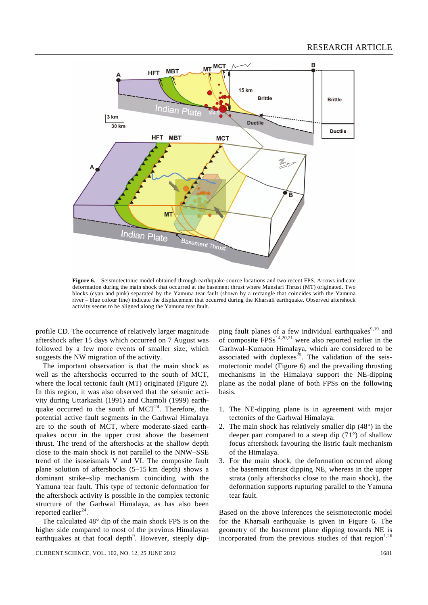

**Figure 6.** Seismotectonic model obtained through earthquake source locations and two recent FPS. Arrows indicate deformation during the main shock that occurred at the basement thrust where Munsiari Thrust (MT) originated. Two blocks (cyan and pink) separated by the Yamuna tear fault (shown by a rectangle that coincides with the Yamuna river – blue colour line) indicate the displacement that occurred during the Kharsali earthquake. Observed aftershock activity seems to be aligned along the Yamuna tear fault.

profile CD. The occurrence of relatively larger magnitude aftershock after 15 days which occurred on 7 August was followed by a few more events of smaller size, which suggests the NW migration of the activity.

 The important observation is that the main shock as well as the aftershocks occurred to the south of MCT, where the local tectonic fault (MT) originated (Figure 2). In this region, it was also observed that the seismic activity during Uttarkashi (1991) and Chamoli (1999) earthquake occurred to the south of  $MCT<sup>24</sup>$ . Therefore, the potential active fault segments in the Garhwal Himalaya are to the south of MCT, where moderate-sized earthquakes occur in the upper crust above the basement thrust. The trend of the aftershocks at the shallow depth close to the main shock is not parallel to the NNW–SSE trend of the isoseismals V and VI. The composite fault plane solution of aftershocks (5–15 km depth) shows a dominant strike–slip mechanism coinciding with the Yamuna tear fault. This type of tectonic deformation for the aftershock activity is possible in the complex tectonic structure of the Garhwal Himalaya, as has also been reported earlier $^{24}$ .

 The calculated 48° dip of the main shock FPS is on the higher side compared to most of the previous Himalayan earthquakes at that focal depth<sup>9</sup>. However, steeply dip-

CURRENT SCIENCE, VOL. 102, NO. 12, 25 JUNE 2012 1681 1681 1681 1681 1681 1681 1681

ping fault planes of a few individual earthquakes $9,19$  and of composite  $FPSs^{14,20,21}$  were also reported earlier in the Garhwal–Kumaon Himalaya, which are considered to be associated with duplexes<sup>25</sup>. The validation of the seismotectonic model (Figure 6) and the prevailing thrusting mechanisms in the Himalaya support the NE-dipping plane as the nodal plane of both FPSs on the following basis.

- 1. The NE-dipping plane is in agreement with major tectonics of the Garhwal Himalaya.
- 2. The main shock has relatively smaller dip (48°) in the deeper part compared to a steep dip (71°) of shallow focus aftershock favouring the listric fault mechanism of the Himalaya.
- 3. For the main shock, the deformation occurred along the basement thrust dipping NE, whereas in the upper strata (only aftershocks close to the main shock), the deformation supports rupturing parallel to the Yamuna tear fault.

Based on the above inferences the seismotectonic model for the Kharsali earthquake is given in Figure 6. The geometry of the basement plane dipping towards NE is incorporated from the previous studies of that region $1,26$